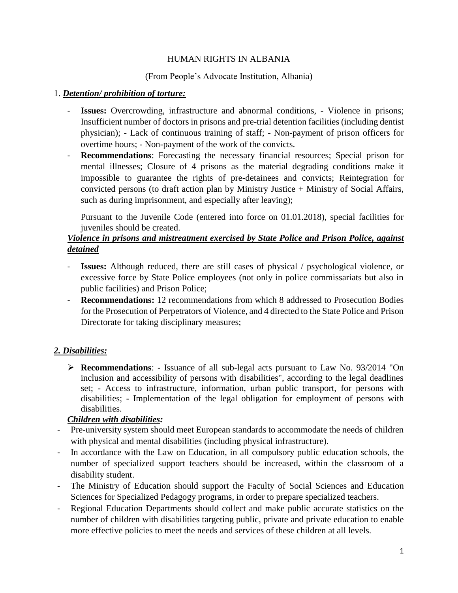### HUMAN RIGHTS IN ALBANIA

### (From People's Advocate Institution, Albania)

#### 1. *Detention/ prohibition of torture:*

- **Issues:** Overcrowding, infrastructure and abnormal conditions, Violence in prisons; Insufficient number of doctors in prisons and pre-trial detention facilities (including dentist physician); - Lack of continuous training of staff; - Non-payment of prison officers for overtime hours; - Non-payment of the work of the convicts.
- **Recommendations**: Forecasting the necessary financial resources; Special prison for mental illnesses; Closure of 4 prisons as the material degrading conditions make it impossible to guarantee the rights of pre-detainees and convicts; Reintegration for convicted persons (to draft action plan by Ministry Justice + Ministry of Social Affairs, such as during imprisonment, and especially after leaving);

Pursuant to the Juvenile Code (entered into force on 01.01.2018), special facilities for juveniles should be created.

# *Violence in prisons and mistreatment exercised by State Police and Prison Police, against detained*

- **Issues:** Although reduced, there are still cases of physical / psychological violence, or excessive force by State Police employees (not only in police commissariats but also in public facilities) and Prison Police;
- **Recommendations:** 12 recommendations from which 8 addressed to Prosecution Bodies for the Prosecution of Perpetrators of Violence, and 4 directed to the State Police and Prison Directorate for taking disciplinary measures;

# *2. Disabilities:*

 **Recommendations**: - Issuance of all sub-legal acts pursuant to Law No. 93/2014 "On inclusion and accessibility of persons with disabilities", according to the legal deadlines set; - Access to infrastructure, information, urban public transport, for persons with disabilities; - Implementation of the legal obligation for employment of persons with disabilities.

# *Children with disabilities:*

- Pre-university system should meet European standards to accommodate the needs of children with physical and mental disabilities (including physical infrastructure).
- In accordance with the Law on Education, in all compulsory public education schools, the number of specialized support teachers should be increased, within the classroom of a disability student.
- The Ministry of Education should support the Faculty of Social Sciences and Education Sciences for Specialized Pedagogy programs, in order to prepare specialized teachers.
- Regional Education Departments should collect and make public accurate statistics on the number of children with disabilities targeting public, private and private education to enable more effective policies to meet the needs and services of these children at all levels.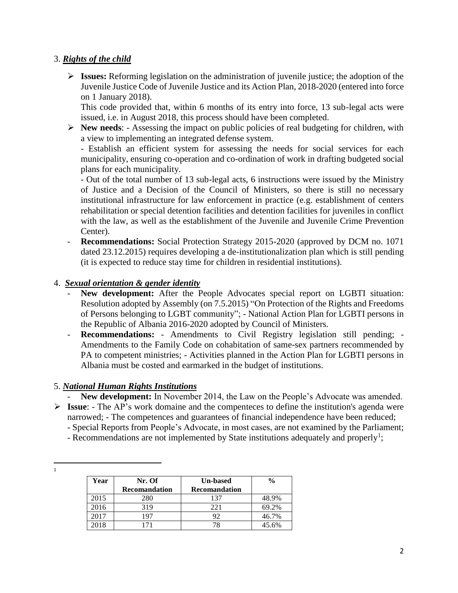### 3. *Rights of the child*

 **Issues:** Reforming legislation on the administration of juvenile justice; the adoption of the Juvenile Justice Code of Juvenile Justice and its Action Plan, 2018-2020 (entered into force on 1 January 2018).

This code provided that, within 6 months of its entry into force, 13 sub-legal acts were issued, i.e. in August 2018, this process should have been completed.

 **New needs**: - Assessing the impact on public policies of real budgeting for children, with a view to implementing an integrated defense system.

- Establish an efficient system for assessing the needs for social services for each municipality, ensuring co-operation and co-ordination of work in drafting budgeted social plans for each municipality.

- Out of the total number of 13 sub-legal acts, 6 instructions were issued by the Ministry of Justice and a Decision of the Council of Ministers, so there is still no necessary institutional infrastructure for law enforcement in practice (e.g. establishment of centers rehabilitation or special detention facilities and detention facilities for juveniles in conflict with the law, as well as the establishment of the Juvenile and Juvenile Crime Prevention Center).

**Recommendations:** Social Protection Strategy 2015-2020 (approved by DCM no. 1071) dated 23.12.2015) requires developing a de-institutionalization plan which is still pending (it is expected to reduce stay time for children in residential institutions).

### 4. *Sexual orientation & gender identity*

- New development: After the People Advocates special report on LGBTI situation: Resolution adopted by Assembly (on 7.5.2015) "On Protection of the Rights and Freedoms of Persons belonging to LGBT community"; - National Action Plan for LGBTI persons in the Republic of Albania 2016-2020 adopted by Council of Ministers.
- **Recommendations:** Amendments to Civil Registry legislation still pending; Amendments to the Family Code on cohabitation of same-sex partners recommended by PA to competent ministries; - Activities planned in the Action Plan for LGBTI persons in Albania must be costed and earmarked in the budget of institutions.

#### 5. *National Human Rights Institutions*

- New development: In November 2014, the Law on the People's Advocate was amended.
- **Issue**: The AP's work domaine and the compenteces to define the institution's agenda were narrowed; - The competences and guarantees of financial independence have been reduced; - Special Reports from People's Advocate, in most cases, are not examined by the Parliament;
	-
	- Recommendations are not implemented by State institutions adequately and properly<sup>1</sup>;

l 1

| Year | Nr. Of<br><b>Recomandation</b> | <b>Un-based</b><br><b>Recomandation</b> | $\frac{0}{0}$ |
|------|--------------------------------|-----------------------------------------|---------------|
| 2015 | 280                            | 137                                     | 48.9%         |
| 2016 | 319                            | 221                                     | 69.2%         |
| 2017 | 197                            | 92                                      | 46.7%         |
| 2018 |                                | 78                                      | 45.6%         |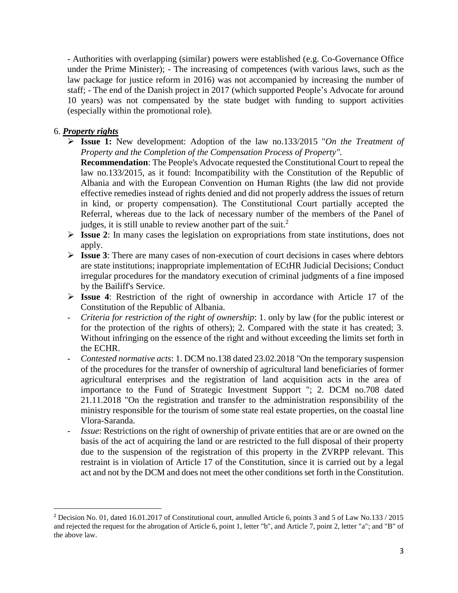- Authorities with overlapping (similar) powers were established (e.g. Co-Governance Office under the Prime Minister); - The increasing of competences (with various laws, such as the law package for justice reform in 2016) was not accompanied by increasing the number of staff; - The end of the Danish project in 2017 (which supported People's Advocate for around 10 years) was not compensated by the state budget with funding to support activities (especially within the promotional role).

#### 6. *Property rights*

 $\overline{\phantom{a}}$ 

 **Issue 1:** New development: Adoption of the law no.133/2015 "*On the Treatment of Property and the Completion of the Compensation Process of Property".*

**Recommendation**: The People's Advocate requested the Constitutional Court to repeal the law no.133/2015, as it found: Incompatibility with the Constitution of the Republic of Albania and with the European Convention on Human Rights (the law did not provide effective remedies instead of rights denied and did not properly address the issues of return in kind, or property compensation). The Constitutional Court partially accepted the Referral, whereas due to the lack of necessary number of the members of the Panel of judges, it is still unable to review another part of the suit.<sup>2</sup>

- **Issue 2**: In many cases the legislation on expropriations from state institutions, does not apply.
- **Issue 3**: There are many cases of non-execution of court decisions in cases where debtors are state institutions; inappropriate implementation of ECtHR Judicial Decisions; Conduct irregular procedures for the mandatory execution of criminal judgments of a fine imposed by the Bailiff's Service.
- **Issue 4**: Restriction of the right of ownership in accordance with Article 17 of the Constitution of the Republic of Albania.
- *Criteria for restriction of the right of ownership*: 1. only by law (for the public interest or for the protection of the rights of others); 2. Compared with the state it has created; 3. Without infringing on the essence of the right and without exceeding the limits set forth in the ECHR.
- *Contested normative acts*: 1. DCM no.138 dated 23.02.2018 "On the temporary suspension of the procedures for the transfer of ownership of agricultural land beneficiaries of former agricultural enterprises and the registration of land acquisition acts in the area of importance to the Fund of Strategic Investment Support "; 2. DCM no.708 dated 21.11.2018 "On the registration and transfer to the administration responsibility of the ministry responsible for the tourism of some state real estate properties, on the coastal line Vlora-Saranda.
- *Issue*: Restrictions on the right of ownership of private entities that are or are owned on the basis of the act of acquiring the land or are restricted to the full disposal of their property due to the suspension of the registration of this property in the ZVRPP relevant. This restraint is in violation of Article 17 of the Constitution, since it is carried out by a legal act and not by the DCM and does not meet the other conditions set forth in the Constitution.

<sup>2</sup> Decision No. 01, dated 16.01.2017 of Constitutional court, annulled Article 6, points 3 and 5 of Law No.133 / 2015 and rejected the request for the abrogation of Article 6, point 1, letter "b", and Article 7, point 2, letter "a"; and "B" of the above law.